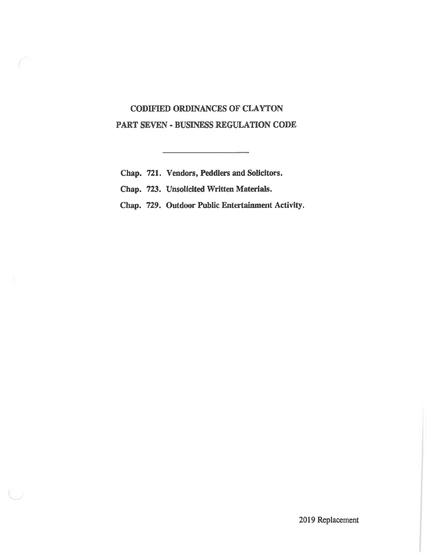# CODIFIED ORDINANCES OF CLAYTON PART SEVEN - BUSINESS REGULATION CODE

Chap. 721, Vendors, Peddlers and Solicitors.

Chap. 723. Unsolicited Written Materials.

Chap. 729. Outdoor Public Entertainment Activity.

---

2019 Replacement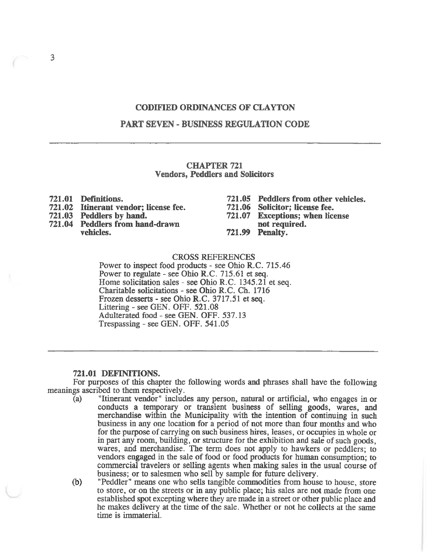### CODIFIED ORDINANCES OF CLAYTON

#### PART SEVEN - BUSINESS REGULATION CODE

#### CHAPTER 721 Vendors, Peddlers and Solicitors

- 721.01 Definitions.
- 721. 02 Itinerant vendor; license fee.
- 721.03 Peddlers by hand.
- 721. 04 Peddlers from hand-drawn vehicles.
- 721.05 Peddlers from other vehicles.
- 721.06 Solicitor; license fee.
- 721. 07 Exceptions; when license
- not required. 721.99 Penalty.

#### CROSS REFERENCES

Power to inspect food products - see Ohio R.C. 715.46 Power to regulate - see Ohio R.C. 715.61 et seq. Home solicitation sales - see Ohio R.C. 1345.21 et seq. Charitable solicitations - see Ohio R. C. Ch. 1716 Frozen desserts - see Ohio R.C. 3717.51 et seq. Littering - see GEN. OFF. 521.08 Adulterated food - see GEN. OFF. 537. 13 Trespassing - see GEN. OFF. 541.05

#### 721.01 DEFINITIONS.

For purposes of this chapter the following words and phrases shall have the following meanings ascribed to them respectively.<br>(a) "Itinerant vendor" includ

- "Itinerant vendor" includes any person, natural or artificial, who engages in or conducts a temporary or transient business of selling goods, wares, and merchandise within the Municipality with the mtention of continuing in such business in any one location for a period of not more than four months and who for the purpose of carrying on such business hires, leases, or occupies in whole or in part any room, building, or structure for the exhibition and sale of such goods, wares, and merchandise. The term does not apply to hawkers or peddlers; to vendors engaged in the sale of food or food products for human consumption; to commercial travelers or selling agents when making sales in the usual course of business; or to salesmen who sell by sample for future delivery.
- (b) "Peddler" means one who sells tangible commodities from house to house, store to store, or on the streets or in any public place; his sales are not made from one established spot excepting where they are made in a street or other public place and he makes delivery at the time of the sale. Whether or not he collects at the same time is immaterial.

3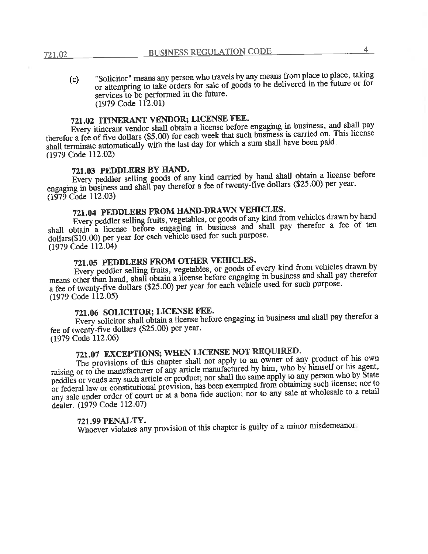"Solicitor" means any person who travels by any means from place to place, taking  $(c)$ or attempting to take orders for sale of goods to be delivered in the future or for services to be performed in the future.  $(1979 \text{ Code } 112.01)$ 

# 721.02 ITINERANT VENDOR; LICENSE FEE.

Every itinerant vendor shall obtain a license before engaging in business, and shall pay therefor a fee of five dollars (\$5.00) for each week that such business is carried on. This license shall terminate automatically with the last day for which a sum shall have been paid.  $(1979 \text{ Code } 112.02)$ 

### 721.03 PEDDLERS BY HAND.

Every peddler selling goods of any kind carried by hand shall obtain a license before engaging in business and shall pay therefor a fee of twenty-five dollars (\$25.00) per year.  $(1\bar{9}7\bar{9}$  Code 112.03)

# 721.04 PEDDLERS FROM HAND-DRAWN VEHICLES.

Every peddler selling fruits, vegetables, or goods of any kind from vehicles drawn by hand shall obtain a license before engaging in business and shall pay therefor a fee of ten dollars(\$10.00) per year for each vehicle used for such purpose.  $(1979 \text{ Code } 112.04)$ 

# 721.05 PEDDLERS FROM OTHER VEHICLES.

Every peddler selling fruits, vegetables, or goods of every kind from vehicles drawn by means other than hand, shall obtain a license before engaging in business and shall pay therefor a fee of twenty-five dollars (\$25.00) per year for each vehicle used for such purpose. (1979 Code 112.05)

### 721.06 SOLICITOR; LICENSE FEE.

Every solicitor shall obtain a license before engaging in business and shall pay therefor a fee of twenty-five dollars (\$25.00) per year.  $(1979 \text{ Code } 112.06)$ 

# 721.07 EXCEPTIONS; WHEN LICENSE NOT REQUIRED.

The provisions of this chapter shall not apply to an owner of any product of his own raising or to the manufacturer of any article manufactured by him, who by himself or his agent, peddles or vends any such article or product; nor shall the same apply to any person who by State or federal law or constitutional provision, has been exempted from obtaining such license; nor to any sale under order of court or at a bona fide auction; nor to any sale at wholesale to a retail dealer. (1979 Code 112.07)

#### 721.99 PENALTY.

Whoever violates any provision of this chapter is guilty of a minor misdemeanor.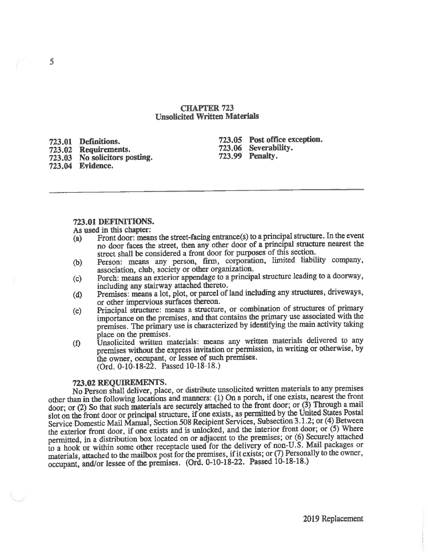#### CHAPTER 723 Unsolicited Written Materials

723.01 Definitions. 723.02 Requirements. 723. 03 No solicitors posting. 723. 04 Evidence.

723.05 Post office exception. 723. 06 Severability. 723.99 Penalty.

#### 723. 01 DEFINITIONS.

As used in this chapter:

- (a) Front door: means the street-facing entrance(s) to a principal structure. no door faces the street, then any other door of a principal structure nearest the street shall be considered a front door for purposes of this section.
- (b) Person: means any person, firm, corporation, limited liability company, association, club, society or other organization.
- (c) Porch: means an exterior appendage to a principal structure leading to a doonvay, including any stairway attached thereto.
- (d) Premises: means a lot, plot, or parcel of land including any structures, driveways, or other impervious surfaces thereon.
- (e) Principal structure: means a structure, or combination of structures of primary importance on the premises, and that contains the primary use associated with the mportance on the premises, and that contains the primary use associated with the<br>premises. The primary use is characterized by identifying the main activity taking<br>place on the premises.<br>Insolicited written materials: mean
- place on the premises.<br>(f) Unsolicited written materials: means any written materials delivered to any premises without the express invitation or permission, in writing or otherwise, by the owner, occupant, or lessee of such premises. (Ord. 0-10-18-22. Passed 10-18-18.)

723.02 REQUIREMENTS.<br>No Person shall deliver, place, or distribute unsolicited written materials to any premises other than in the following locations and manners: (1) On a porch, if one exists, nearest the front door; or (2) So that such materials are securely attached to the front door; or (3) Through a mail slot on the front door or principal structure, if one exists, as permitted by the United States Postal Service Domestic Mail Manual, Section 508 Recipient Services, Subsection 3.1.2; or (4) Between the exterior front door, if one exists and is unlocked, and the interior front door; or (5) Where permitted, in a distribution box located on or adjacent to the premises; or (6) Securely attached to a hook or within some other receptacle used for the delivery of non-U.S. Mail packages or materials, attached to the mailbox post for the premises, if it exists; or (7) Personally to the owner, occupant, and/or lessee of the premises. (Ord. 0-10-18-22. Passed 10-18-18.)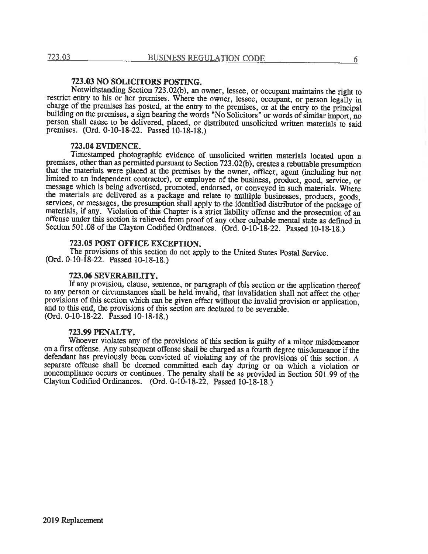#### 723. 03 NO SOLICITORS POSTING.

Notwithstanding Section 723.02(b), an owner, lessee, or occupant maintains the right to restrict entry to his or her premises. Where the owner, lessee, occupant, or person legally in charge of the premises has posted, at the entry to the premises, or at the entry to the principal building on the premises, a sign bearing the words "No Solicitors" or words of similar import, no person shall cause to be delivered, placed, or distributed unsolicited written materials'to said premises. (Ord. 0-10-18-22. Passed 10-18-18.)

#### 723. 04 EVTOENCE.

Timestamped photographic evidence of unsolicited written materials located upon a premises, other than as permitted pursuant to Section 723.02(b), creates a rebuttable presumption that the materials were placed at the premises by the owner, officer, agent (including but not limited to an independent contractor), or employee of the business, product, good, service, or message which is being advertised, promoted, endorsed, or conveyed in such materials. Where the materials are delivered as a package and relate to multiple businesses, products, goods, services, or messages, the presumption shall apply to the identified distributor of the package of materials, if any. Violation of this Chapter is a strict liability offense and the prosecution of an offense under this section is relieved from proof of any other culpable mental state as defined in Section 501.08 of the Clayton Codified Ordinances. (Ord. 0-10-18-22. Passed 10-18-18.)

#### 723. 05 POST OFFICE EXCEPTION.

The provisions of this section do not apply to the United States Postal Service. (Ord. 0-10-18-22. Passed 10-18-18.)

#### 723. 06 SEVERABILITY.

If any provision, clause, sentence, or paragraph of this section or the application thereof to any person or circumstances shall be held invalid, that invalidation shall not affect the other provisions of this section which can be given effect without the invalid provision or application, and to this end, the provisions of this section are declared to be severable. (Ord. 0-10-18-22. Passed 10-18-18.)

#### 723.99 PENALTY.

Whoever violates any of the provisions of this section is guilty of a minor misdemeanor on a first offense. Any subsequent offense shall be charged as a fourth degree misdemeanor if the defendant has previously been convicted of violating any of the provisions of this section. A separate offense shall be deemed committed each day during or on which a violation or noncompliance occurs or continues. The penalty shall be as provided in Section 501.99 of the Clayton Codified Ordinances. (Ord. 0-10-18-22. Passed 10-18-18.)

6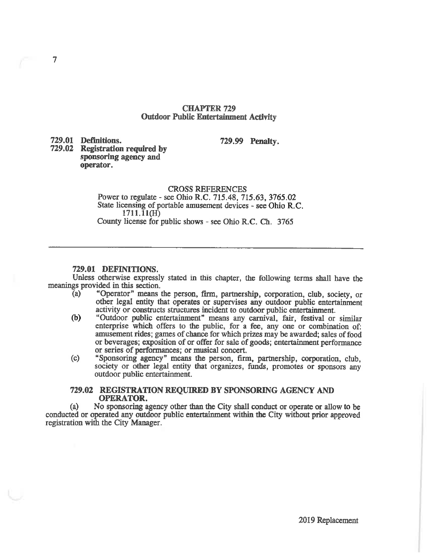#### CHAPTER 729 Outdoor Public Entertainment Activity

729.01 Definitions.

 $\overline{7}$ 

729.99 Penalty.

729.02 Registration required by sponsoring agency and operator.

#### CROSS REFERENCES

Power to regulate - see Ohio R.C. 715.48, 715.63, 3765.02 State licensing of portable amusement devices - see Ohio R.C.  $1711.11(H)$ County license for public shows - see Ohio R.C. Ch. 3765

#### 729.01 DEFINITIONS.

Unless otherwise expressly stated in this chapter, the following terms shall have the meanings provided in this section.<br>(a) "Operator" means

- "Operator" means the person, firm, partnership, corporation, club, society, or other legal entity that operates or supervises any outdoor public entertainment activity or constructs structures incident to outdoor public entertainment.
- (b) "Outdoor public entertainment" means any carnival, fair, festival or similar enterprise which offers to the public, for a fee, any one or combination of: amusement rides; games of chance for which prizes may be awarded; sales of food or beverages; exposition of or offer for sale of goods; entertainment performance or series of performances; or musical concert.
- (c) "Sponsoring agency" means the person, firm, partnership, corporation, club, society or other legal entity that organizes, funds, promotes or sponsors any outdoor public entertainment.

#### 729.02 REGISTRATION REQUIRED BY SPONSORING AGENCT AND OPERATOR.

(a) No sponsoring agency other than the City shall conduct or operate or allow to be conducted or operated any outdoor public entertainment within the City without prior approved registration with the City Manager.